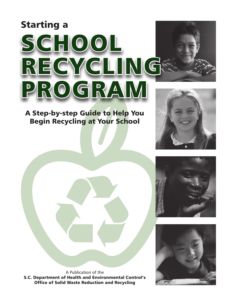# Starting a



### A Step-by-step Guide to Help You Begin Recycling at Your School







**Office of Solid Waste Reduction and Recycling and Page 1989** A Publication of the S.C. Department of Health and Environmental Control's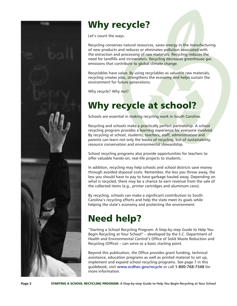

### Why recycle?

Let's count the ways.

Recycling conserves natural resources, saves energy in the manufacturing of new products and reduces or eliminates pollution associated with the extraction and processing of raw materials. Recycling reduces the need for landfills and incinerators. Recycling decreases greenhouse gas emissions that contribute to global climate change.

Recyclables have value. By using recyclables as valuable raw materials, recycling creates jobs, strengthens the economy and helps sustain the environment for future generations.

Why recycle? Why not?

### Why recycle at school?

Schools are essential in making recycling work in South Carolina.

Recycling and schools make a practically perfect partnership. A school recycling program provides a learning experience for everyone involved. By recycling at school, students, teachers, staff, administration and parents can learn not only the basics of recycling, but of sustainability, resource conservation and environmental stewardship.

School recycling programs also provide opportunities for teachers to offer valuable hands-on, real-life projects to students.

In addition, recycling may help schools and school districts save money through avoided disposal costs. Remember, the less you throw away, the less you should have to pay to have garbage hauled away. Depending on what is recycled, there may be a chance to earn revenue from the sale of the collected items (e.g., printer cartridges and aluminum cans).

By recycling, schools can make a significant contribution to South Carolina's recycling efforts and help the state meet its goals while helping the state's economy and protecting the environment.

## Need help?

"Starting a School Recycling Program: A Step-by-step Guide to Help You Begin Recycling at Your School" – developed by the S.C. Department of Health and Environmental Control's Office of Solid Waste Reduction and Recycling (Office) – can serve as a basic starting point.

Beyond this publication, the Office provides grant funding, technical assistance, education programs as well as printed material to set up, implement and expand school recycling programs. See page 7 in this guidebook, visit **<www.scdhec.gov/recycle>** or call **1-800-768-7348** for more information.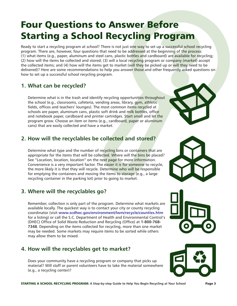### Four Questions to Answer Before Starting a School Recycling Program

Ready to start a recycling program at school? There is not just one way to set up a successful school recycling program. There are, however, four questions that need to be addressed at the beginning of the process: (1) what items (e.g., paper, aluminum and steel cans, plastic bottles and cardboard) are available for recycling; (2) how will the items be collected and stored; (3) will a local recycling program or company (market) accept the collected items; and (4) how will the items get to market (will they be picked up or will they need to be delivered)? Here are some recommendations to help you answer those and other frequently asked questions on how to set up a successful school recycling program.

#### **1. What can be recycled?**

 Determine what is in the trash and identify recycling opportunities throughout the school (e.g., classrooms, cafeteria, vending areas, library, gym, athletic fields, offices and teachers' lounges). The most common items recycled at schools are paper, aluminum cans, plastic soft drink and milk bottles, office and notebook paper, cardboard and printer cartridges. Start small and let the program grow. Choose an item or items (e.g., cardboard, paper or aluminum cans) that are easily collected and have a market.

#### **2. How will the recyclables be collected and stored?**

 Determine what type and the number of recycling bins or containers that are appropriate for the items that will be collected. Where will the bins be placed? See "Location, location, location" on the next page for more information. Convenience is a very important factor. The easier it is for someone to recycle, the more likely it is that they will recycle. Determine who will be responsible for emptying the containers and moving the items to storage (e.g., a large recycling container in the parking lot) prior to going to market.

#### **3. Where will the recyclables go?**

 Remember, collection is only part of the program. Determine what markets are available locally. The quickest way is to contact your city or county recycling coordinator (visit **<www.scdhec.gov/environment/lwm/recycle/counties.htm>** for a listing) or call the S.C. Department of Health and Environmental Control's (DHEC) Office of Solid Waste Reduction and Recycling (Office) at **1-800-768- 7348**. Depending on the items collected for recycling, more than one market may be needed. Some markets may require items to be sorted while others may allow them to be mixed.

#### **4. How will the recyclables get to market?**

 Does your community have a recycling program or company that picks up material? Will staff or parent volunteers have to take the material somewhere (e.g., a recycling center)?







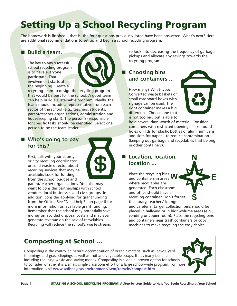## Setting Up a School Recycling Program

The homework is finished – that is, the four questions previously listed have been answered. What's next? Here are additional recommendations to set up and begin a school recycling program.

#### Build a team.

The key to any successful school recycling program is to have everyone participate. That involvement starts at the beginning. Create a



recycling team to design the recycling program that would be best for the school. A good team can help build a sustainable program. Ideally, the team should include a representative from each sector of the school (e.g., teachers, students, parent/teacher organizations, administration and housekeeping staff). The person(s) responsible for specific tasks should be identified. Select one person to be the team leader.

#### ■ Who's going to pay **for this?**

First, talk with your county or city recycling coordinator or solid waste director about recycling services that may be available. Look for funding from the school budget and



parent/teacher organizations. You also may want to consider partnerships with school vendors, local businesses and civic groups. In addition, consider applying for grant funding from the Office. See "Need help?" on page 6 for more information on available grant funding. Remember that the school may potentially save money on avoided disposal costs and may even generate revenue on the sale of recyclables. Recycling will reduce the school's waste stream,

### Composting at School ...

Composting is the controlled natural decomposition of organic material such as leaves, yard trimmings and grass clippings as well as fruit and vegetable scraps. It has many benefits including reducing waste and saving money. Composting is a viable, proven option for schools to consider whether it is a small, single classroom effort or a large school-wide program. For more information, visit **<www.scdhec.gov/environment/lwm/recycle/compost.htm>**.



is not too big, but is able to hold several days worth of material. Consider containers with restricted openings – like round holes on lids for plastic bottles or aluminum cans and slots for paper – to reduce contamination (keeping out garbage and recyclables that belong in other containers).

so look into decreasing the frequency of garbage pickups and allocate any savings towards the

#### ■ Location, location, **location ...**

right container makes a big difference. Choose one that

recycling program.

**Choosing bins** 

Place the recycling bins and containers in areas where recyclables are generated. Each classroom and office should have a recycling container. Don't forget the library, teachers' lounge

and cafeteria. Larger collection bins should be placed in hallways or in high-volume areas (e.g., vending or copier room). Place the recycling bins and containers near trash containers or copy machines to make recycling the easy choice.

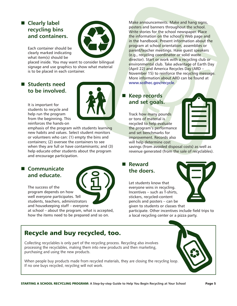### ■ Clearly label **recycling bins and containers.**



Each container should be clearly marked indicating what item(s) should be

placed inside. You may want to consider bilingual signage and use graphics to show what material is to be placed in each container.

#### **n** Students need **to be involved.**



It is important for students to recycle and help run the program from the beginning. This reinforces the hands-on

emphasis of the program with students learning new habits and values. Select student monitors or volunteers who can: (1) empty the bins and containers; (2) oversee the containers to see when they are full or have contaminants; and (3) help educate other students about the program and encourage participation.

#### ■ Communicate **and educate.**



The success of the program depends on how well everyone participates. Tell students, teachers, administrators and housekeeping staff – everyone

at school – about the program, what is accepted, how the items need to be prepared and so on.

Make announcements. Make and hang signs, posters and banners throughout the school. Write stories for the school newspaper. Place the information on the school's Web page and in the handbook. Present information about the program at school orientation, assemblies or parent/teacher meetings. Have guest speakers (e.g., recycling coordinator or solid waste director). Start or work with a recycling club or environmental club. Take advantage of Earth Day (April 22) and America Recycles Day (ARD – November 15) to reinforce the recycling message. More information about ARD can be found at **<www.scdhec.gov/recycle>**.

#### **Keep records and set goals.**

Track how many pounds or tons of material is recycled to help evaluate the program's performance and set benchmarks for improvement. Records also will help determine cost



savings (from avoided disposal costs) as well as revenue generated (from the sale of recyclables).

#### **n** Reward **the doers.**

Let students know that everyone wins in recycling. Incentives – such as T-shirts, stickers, recycled-content pencils and posters – can be given to students or classes that

participate. Other incentives include field trips to a local recycling center or a pizza party.

### Recycle and buy recycled, too.

Collecting recyclables is only part of the recycling process. Recycling also involves processing the recyclables, making them into new products and then marketing, purchasing and using the new products.

When people buy products made from recycled materials, they are closing the recycling loop. If no one buys recycled, recycling will not work.